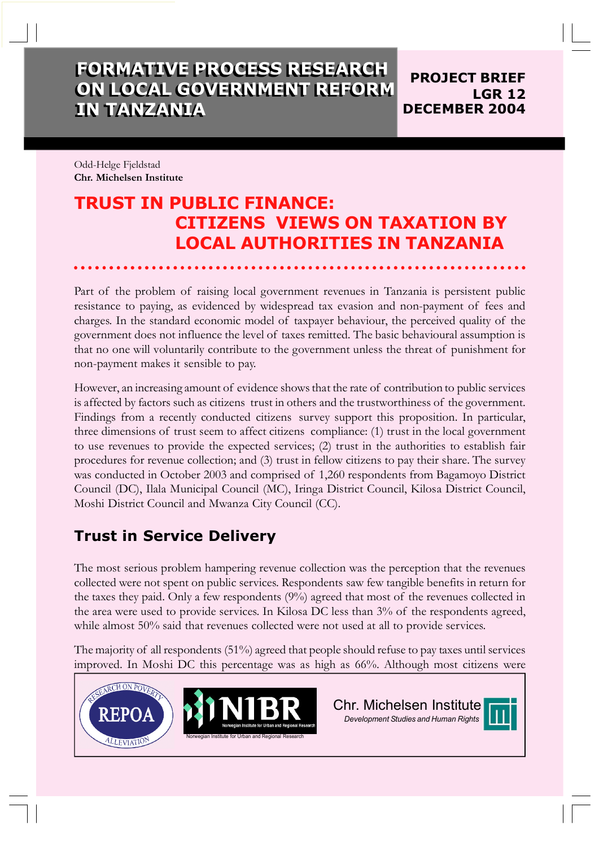## **FORMATIVE PROCESS RESEARCH FORMATIVE PROCESS RESEARCH ON LOCAL GOVERNMENT REFORM ON LOCAL GOVERNMENT REFORM IN TANZANIA IN TANZANIA**

**PROJECT BRIEF LGR 12 DECEMBER 2004**

Odd-Helge Fjeldstad **Chr. Michelsen Institute**

# **TRUST IN PUBLIC FINANCE: CITIZENS VIEWS ON TAXATION BY LOCAL AUTHORITIES IN TANZANIA**

Part of the problem of raising local government revenues in Tanzania is persistent public resistance to paying, as evidenced by widespread tax evasion and non-payment of fees and charges. In the standard economic model of taxpayer behaviour, the perceived quality of the government does not influence the level of taxes remitted. The basic behavioural assumption is that no one will voluntarily contribute to the government unless the threat of punishment for non-payment makes it sensible to pay.

However, an increasing amount of evidence showsthat the rate of contribution to public services is affected by factors such as citizens trust in others and the trustworthiness of the government. Findings from a recently conducted citizens survey support this proposition. In particular, three dimensions of trust seem to affect citizens compliance: (1) trust in the local government to use revenues to provide the expected services; (2) trust in the authorities to establish fair procedures for revenue collection; and (3) trust in fellow citizens to pay their share. The survey was conducted in October 2003 and comprised of 1,260 respondents from Bagamoyo District Council (DC), Ilala Municipal Council (MC), Iringa District Council, Kilosa District Council, Moshi District Council and Mwanza City Council (CC).

### **Trust in Service Delivery**

The most serious problem hampering revenue collection was the perception that the revenues collected were not spent on public services. Respondents saw few tangible benefits in return for the taxes they paid. Only a few respondents (9%) agreed that most of the revenues collected in the area were used to provide services. In Kilosa DC less than 3% of the respondents agreed, while almost 50% said that revenues collected were not used at all to provide services.

The majority of all respondents (51%) agreed that people should refuse to pay taxes until services improved. In Moshi DC this percentage was as high as 66%. Although most citizens were

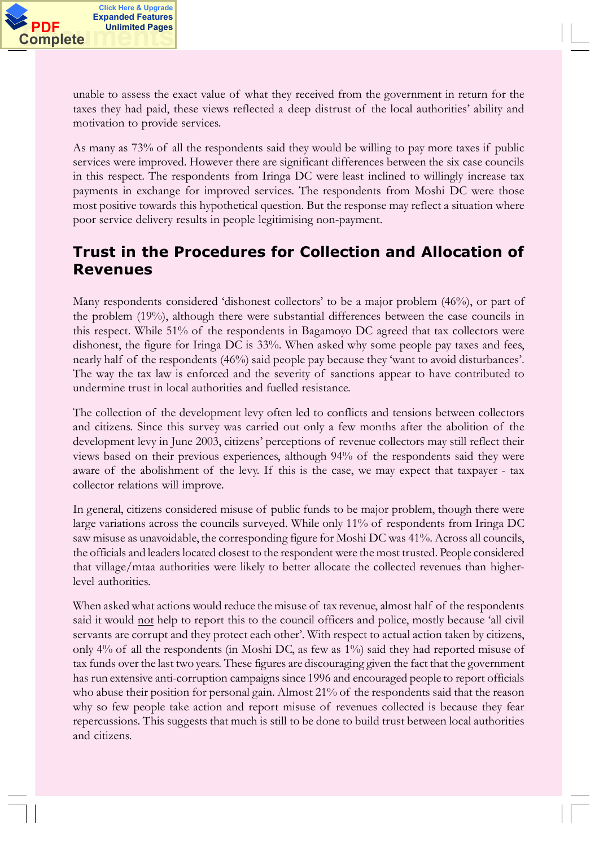unable to assess the exact value of what they received from the government in return for the taxes they had paid, these views reflected a deep distrust of the local authorities' ability and motivation to provide services.

As many as 73% of all the respondents said they would be willing to pay more taxes if public services were improved. However there are significant differences between the six case councils in this respect. The respondents from Iringa DC were least inclined to willingly increase tax payments in exchange for improved services. The respondents from Moshi DC were those most positive towards this hypothetical question. But the response may reflect a situation where poor service delivery results in people legitimising non-payment.

## **Trust in the Procedures for Collection and Allocation of Revenues**

Many respondents considered 'dishonest collectors' to be a major problem (46%), or part of the problem (19%), although there were substantial differences between the case councils in this respect. While 51% of the respondents in Bagamoyo DC agreed that tax collectors were dishonest, the figure for Iringa DC is 33%. When asked why some people pay taxes and fees, nearly half of the respondents (46%) said people pay because they 'want to avoid disturbances'. The way the tax law is enforced and the severity of sanctions appear to have contributed to undermine trust in local authorities and fuelled resistance.

The collection of the development levy often led to conflicts and tensions between collectors and citizens. Since this survey was carried out only a few months after the abolition of the development levy in June 2003, citizens' perceptions of revenue collectors may still reflect their views based on their previous experiences, although 94% of the respondents said they were aware of the abolishment of the levy. If this is the case, we may expect that taxpayer - tax collector relations will improve.

In general, citizens considered misuse of public funds to be major problem, though there were large variations across the councils surveyed. While only 11% of respondents from Iringa DC saw misuse as unavoidable, the corresponding figure for Moshi DC was 41%. Across all councils, the officials and leaders located closest to the respondent were the most trusted. People considered that village/mtaa authorities were likely to better allocate the collected revenues than higherlevel authorities.

When asked what actions would reduce the misuse of tax revenue, almost half of the respondents said it would not help to report this to the council officers and police, mostly because 'all civil servants are corrupt and they protect each other·. With respect to actual action taken by citizens, only 4% of all the respondents (in Moshi DC, as few as 1%) said they had reported misuse of tax funds over the last two years. These figures are discouraging given the fact that the government has run extensive anti-corruption campaigns since 1996 and encouraged people to report officials who abuse their position for personal gain. Almost 21% of the respondents said that the reason why so few people take action and report misuse of revenues collected is because they fear repercussions. This suggests that much is still to be done to build trust between local authorities and citizens.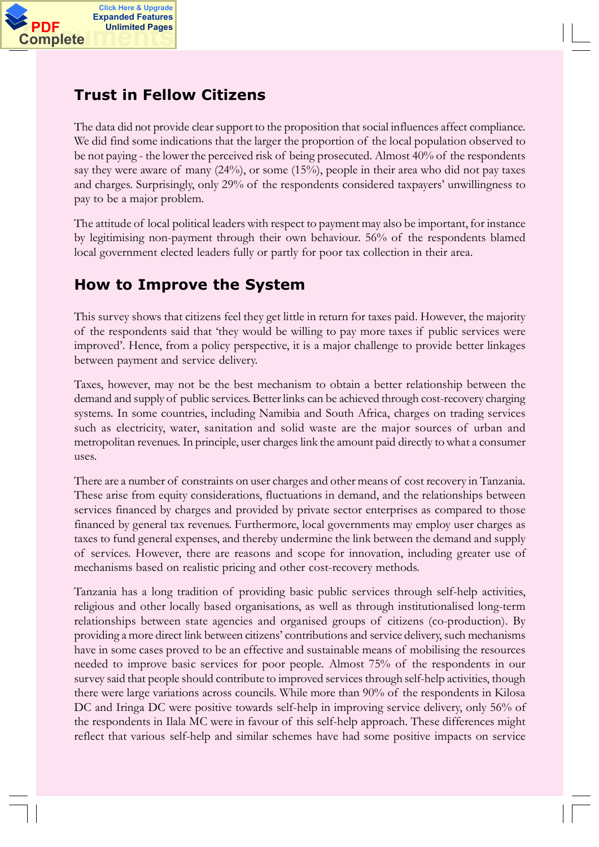

#### **Trust in Fellow Citizens**

The data did not provide clear support to the proposition that social influences affect compliance. We did find some indications that the larger the proportion of the local population observed to be not paying - the lower the perceived risk of being prosecuted. Almost 40% of the respondents say they were aware of many (24%), or some (15%), people in their area who did not pay taxes and charges. Surprisingly, only 29% of the respondents considered taxpayers· unwillingness to pay to be a major problem.

The attitude of local political leaders with respect to payment may also be important, for instance by legitimising non-payment through their own behaviour. 56% of the respondents blamed local government elected leaders fully or partly for poor tax collection in their area.

### **How to Improve the System**

This survey shows that citizens feel they get little in return for taxes paid. However, the majority of the respondents said that 'they would be willing to pay more taxes if public services were improved'. Hence, from a policy perspective, it is a major challenge to provide better linkages between payment and service delivery.

Taxes, however, may not be the best mechanism to obtain a better relationship between the demand and supply of public services. Better links can be achieved through cost-recovery charging systems. In some countries, including Namibia and South Africa, charges on trading services such as electricity, water, sanitation and solid waste are the major sources of urban and metropolitan revenues. In principle, user charges link the amount paid directly to what a consumer uses.

There are a number of constraints on user charges and other means of cost recovery in Tanzania. These arise from equity considerations, fluctuations in demand, and the relationships between services financed by charges and provided by private sector enterprises as compared to those financed by general tax revenues. Furthermore, local governments may employ user charges as taxes to fund general expenses, and thereby undermine the link between the demand and supply of services. However, there are reasons and scope for innovation, including greater use of mechanisms based on realistic pricing and other cost-recovery methods.

Tanzania has a long tradition of providing basic public services through self-help activities, religious and other locally based organisations, as well as through institutionalised long-term relationships between state agencies and organised groups of citizens (co-production). By providing a more direct link between citizens· contributions and service delivery, such mechanisms have in some cases proved to be an effective and sustainable means of mobilising the resources needed to improve basic services for poor people. Almost 75% of the respondents in our survey said that people should contribute to improved services through self-help activities, though there were large variations across councils. While more than 90% of the respondents in Kilosa DC and Iringa DC were positive towards self-help in improving service delivery, only 56% of the respondents in Ilala MC were in favour of this self-help approach. These differences might reflect that various self-help and similar schemes have had some positive impacts on service